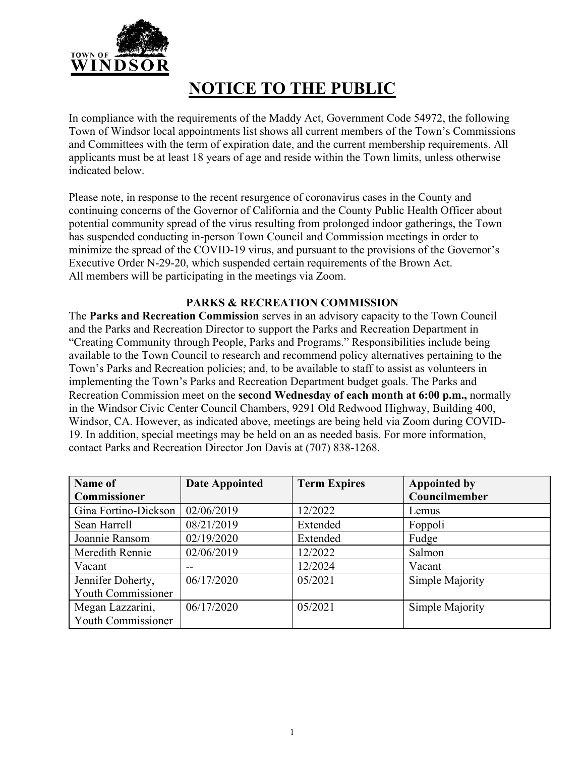

# **NOTICE TO THE PUBLIC**

In compliance with the requirements of the Maddy Act, Government Code 54972, the following Town of Windsor local appointments list shows all current members of the Town's Commissions and Committees with the term of expiration date, and the current membership requirements. All applicants must be at least 18 years of age and reside within the Town limits, unless otherwise indicated below.

Please note, in response to the recent resurgence of coronavirus cases in the County and continuing concerns of the Governor of California and the County Public Health Officer about potential community spread of the virus resulting from prolonged indoor gatherings, the Town has suspended conducting in-person Town Council and Commission meetings in order to minimize the spread of the COVID-19 virus, and pursuant to the provisions of the Governor's Executive Order N-29-20, which suspended certain requirements of the Brown Act. All members will be participating in the meetings via Zoom.

## **PARKS & RECREATION COMMISSION**

The **Parks and Recreation Commission** serves in an advisory capacity to the Town Council and the Parks and Recreation Director to support the Parks and Recreation Department in "Creating Community through People, Parks and Programs." Responsibilities include being available to the Town Council to research and recommend policy alternatives pertaining to the Town's Parks and Recreation policies; and, to be available to staff to assist as volunteers in implementing the Town's Parks and Recreation Department budget goals. The Parks and Recreation Commission meet on the **second Wednesday of each month at 6:00 p.m.,** normally in the Windsor Civic Center Council Chambers, 9291 Old Redwood Highway, Building 400, Windsor, CA. However, as indicated above, meetings are being held via Zoom during COVID-19. In addition, special meetings may be held on an as needed basis. For more information, contact Parks and Recreation Director Jon Davis at (707) 838-1268.

| Name of                   | <b>Date Appointed</b> | <b>Term Expires</b> | <b>Appointed by</b> |
|---------------------------|-----------------------|---------------------|---------------------|
| Commissioner              |                       |                     | Councilmember       |
| Gina Fortino-Dickson      | 02/06/2019            | 12/2022             | Lemus               |
| Sean Harrell              | 08/21/2019            | Extended            | Foppoli             |
| Joannie Ransom            | 02/19/2020            | Extended            | Fudge               |
| Meredith Rennie           | 02/06/2019            | 12/2022             | Salmon              |
| Vacant                    | --                    | 12/2024             | Vacant              |
| Jennifer Doherty,         | 06/17/2020            | 05/2021             | Simple Majority     |
| <b>Youth Commissioner</b> |                       |                     |                     |
| Megan Lazzarini,          | 06/17/2020            | 05/2021             | Simple Majority     |
| <b>Youth Commissioner</b> |                       |                     |                     |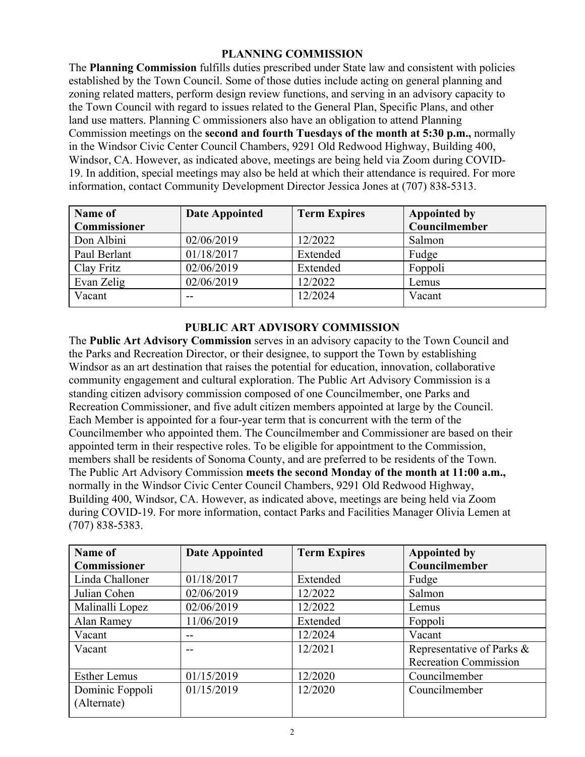#### **PLANNING COMMISSION**

The **Planning Commission** fulfills duties prescribed under State law and consistent with policies established by the Town Council. Some of those duties include acting on general planning and zoning related matters, perform design review functions, and serving in an advisory capacity to the Town Council with regard to issues related to the General Plan, Specific Plans, and other land use matters. Planning C ommissioners also have an obligation to attend Planning Commission meetings on the **second and fourth Tuesdays of the month at 5:30 p.m.,** normally in the Windsor Civic Center Council Chambers, 9291 Old Redwood Highway, Building 400, Windsor, CA. However, as indicated above, meetings are being held via Zoom during COVID-19. In addition, special meetings may also be held at which their attendance is required. For more information, contact Community Development Director Jessica Jones at (707) 838-5313.

| <b>Name of</b> | Date Appointed | <b>Term Expires</b> | <b>Appointed by</b> |
|----------------|----------------|---------------------|---------------------|
| Commissioner   |                |                     | Councilmember       |
| Don Albini     | 02/06/2019     | 12/2022             | Salmon              |
| Paul Berlant   | 01/18/2017     | Extended            | Fudge               |
| Clay Fritz     | 02/06/2019     | Extended            | Foppoli             |
| Evan Zelig     | 02/06/2019     | 12/2022             | Lemus               |
| Vacant         | $-$            | 12/2024             | Vacant              |

#### **PUBLIC ART ADVISORY COMMISSION**

The **Public Art Advisory Commission** serves in an advisory capacity to the Town Council and the Parks and Recreation Director, or their designee, to support the Town by establishing Windsor as an art destination that raises the potential for education, innovation, collaborative community engagement and cultural exploration. The Public Art Advisory Commission is a standing citizen advisory commission composed of one Councilmember, one Parks and Recreation Commissioner, and five adult citizen members appointed at large by the Council. Each Member is appointed for a four-year term that is concurrent with the term of the Councilmember who appointed them. The Councilmember and Commissioner are based on their appointed term in their respective roles. To be eligible for appointment to the Commission, members shall be residents of Sonoma County, and are preferred to be residents of the Town. The Public Art Advisory Commission **meets the second Monday of the month at 11:00 a.m.,** normally in the Windsor Civic Center Council Chambers, 9291 Old Redwood Highway, Building 400, Windsor, CA. However, as indicated above, meetings are being held via Zoom during COVID-19. For more information, contact Parks and Facilities Manager Olivia Lemen at (707) 838-5383.

| Name of             | <b>Date Appointed</b> | <b>Term Expires</b> | <b>Appointed by</b>          |
|---------------------|-----------------------|---------------------|------------------------------|
| Commissioner        |                       |                     | Councilmember                |
| Linda Challoner     | 01/18/2017            | Extended            | Fudge                        |
| Julian Cohen        | 02/06/2019            | 12/2022             | Salmon                       |
| Malinalli Lopez     | 02/06/2019            | 12/2022             | Lemus                        |
| Alan Ramey          | 11/06/2019            | Extended            | Foppoli                      |
| Vacant              | --                    | 12/2024             | Vacant                       |
| Vacant              |                       | 12/2021             | Representative of Parks &    |
|                     |                       |                     | <b>Recreation Commission</b> |
| <b>Esther Lemus</b> | 01/15/2019            | 12/2020             | Councilmember                |
| Dominic Foppoli     | 01/15/2019            | 12/2020             | Councilmember                |
| (Alternate)         |                       |                     |                              |
|                     |                       |                     |                              |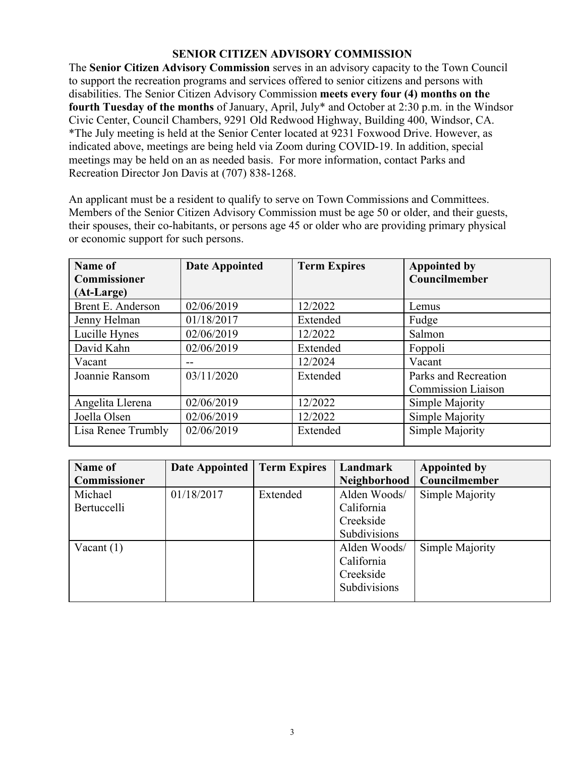#### **SENIOR CITIZEN ADVISORY COMMISSION**

The **Senior Citizen Advisory Commission** serves in an advisory capacity to the Town Council to support the recreation programs and services offered to senior citizens and persons with disabilities. The Senior Citizen Advisory Commission **meets every four (4) months on the fourth Tuesday of the months** of January, April, July\* and October at 2:30 p.m. in the Windsor Civic Center, Council Chambers, 9291 Old Redwood Highway, Building 400, Windsor, CA. \*The July meeting is held at the Senior Center located at 9231 Foxwood Drive. However, as indicated above, meetings are being held via Zoom during COVID-19. In addition, special meetings may be held on an as needed basis. For more information, contact Parks and Recreation Director Jon Davis at (707) 838-1268.

An applicant must be a resident to qualify to serve on Town Commissions and Committees. Members of the Senior Citizen Advisory Commission must be age 50 or older, and their guests, their spouses, their co-habitants, or persons age 45 or older who are providing primary physical or economic support for such persons.

| Name of<br>Commissioner | <b>Date Appointed</b> | <b>Term Expires</b> | <b>Appointed by</b><br>Councilmember |
|-------------------------|-----------------------|---------------------|--------------------------------------|
| (At-Large)              |                       |                     |                                      |
| Brent E. Anderson       | 02/06/2019            | 12/2022             | Lemus                                |
| Jenny Helman            | 01/18/2017            | Extended            | Fudge                                |
| Lucille Hynes           | 02/06/2019            | 12/2022             | Salmon                               |
| David Kahn              | 02/06/2019            | Extended            | Foppoli                              |
| Vacant                  | --                    | 12/2024             | Vacant                               |
| Joannie Ransom          | 03/11/2020            | Extended            | Parks and Recreation                 |
|                         |                       |                     | <b>Commission Liaison</b>            |
| Angelita Llerena        | 02/06/2019            | 12/2022             | Simple Majority                      |
| Joella Olsen            | 02/06/2019            | 12/2022             | Simple Majority                      |
| Lisa Renee Trumbly      | 02/06/2019            | Extended            | Simple Majority                      |

| Name of      | <b>Date Appointed</b> | <b>Term Expires</b> | Landmark     | <b>Appointed by</b> |
|--------------|-----------------------|---------------------|--------------|---------------------|
| Commissioner |                       |                     | Neighborhood | Councilmember       |
| Michael      | 01/18/2017            | Extended            | Alden Woods/ | Simple Majority     |
| Bertuccelli  |                       |                     | California   |                     |
|              |                       |                     | Creekside    |                     |
|              |                       |                     | Subdivisions |                     |
| Vacant $(1)$ |                       |                     | Alden Woods/ | Simple Majority     |
|              |                       |                     | California   |                     |
|              |                       |                     | Creekside    |                     |
|              |                       |                     | Subdivisions |                     |
|              |                       |                     |              |                     |